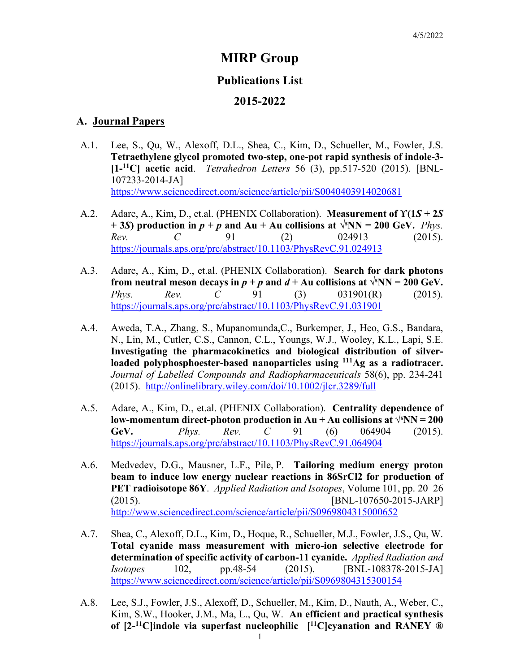# **MIRP Group**

### **Publications List**

### **2015-2022**

#### **A. Journal Papers**

- A.1. Lee, S., Qu, W., Alexoff, D.L., Shea, C., Kim, D., Schueller, M., Fowler, J.S. **Tetraethylene glycol promoted two-step, one-pot rapid synthesis of indole-3- [1- 11C] acetic acid**. *Tetrahedron Letters* 56 (3), pp.517-520 (2015). [BNL-107233-2014-JA] <https://www.sciencedirect.com/science/article/pii/S0040403914020681>
- A.2. Adare, A., Kim, D., et.al. (PHENIX Collaboration). **Measurement of ϒ(1***S* **+ 2***S* **+ 3***S***) production in**  $p + p$  **and Au + Au collisions at**  $\sqrt{s}NN = 200$  **GeV.** *Phys. Rev. C* 91 (2) 024913 (2015). <https://journals.aps.org/prc/abstract/10.1103/PhysRevC.91.024913>
- A.3. Adare, A., Kim, D., et.al. (PHENIX Collaboration). **Search for dark photons from neutral meson decays in**  $p + p$  **and**  $d + \text{Au}$  **collisions at**  $\sqrt{s}\text{NN} = 200 \text{ GeV}$ **.** *Phys. Rev. C* 91 (3) 031901(R) (2015). <https://journals.aps.org/prc/abstract/10.1103/PhysRevC.91.031901>
- A.4. Aweda, T.A., Zhang, S., Mupanomunda,C., Burkemper, J., Heo, G.S., Bandara, N., Lin, M., Cutler, C.S., Cannon, C.L., Youngs, W.J., Wooley, K.L., Lapi, S.E. **Investigating the pharmacokinetics and biological distribution of silverloaded polyphosphoester-based nanoparticles using 111Ag as a radiotracer.**  *Journal of Labelled Compounds and Radiopharmaceuticals* 58(6), pp. 234-241 (2015). <http://onlinelibrary.wiley.com/doi/10.1002/jlcr.3289/full>
- A.5. Adare, A., Kim, D., et.al. (PHENIX Collaboration). **Centrality dependence of low-momentum direct-photon production in Au + Au collisions at**  $\sqrt{s}NN = 200$ **GeV.** *Phys. Rev. C* 91 (6) 064904 (2015). <https://journals.aps.org/prc/abstract/10.1103/PhysRevC.91.064904>
- A.6. Medvedev, D.G., Mausner, L.F., Pile, P. **Tailoring medium energy proton beam to induce low energy nuclear reactions in 86SrCl2 for production of PET radioisotope 86Y**. *[Applied Radiation and Isotopes](http://www.sciencedirect.com/science/journal/09698043)*, [Volume 101,](http://www.sciencedirect.com/science/journal/09698043/101/supp/C) pp. 20–26 (2015). [BNL-107650-2015-JARP] <http://www.sciencedirect.com/science/article/pii/S0969804315000652>
- A.7. Shea, C., Alexoff, D.L., Kim, D., Hoque, R., Schueller, M.J., Fowler, J.S., Qu, W. **Total cyanide mass measurement with micro-ion selective electrode for determination of specific activity of carbon-11 cyanide.** *Applied Radiation and Isotopes* 102, pp.48-54 (2015). [BNL-108378-2015-JA] <https://www.sciencedirect.com/science/article/pii/S0969804315300154>
- A.8. Lee, S.J., Fowler, J.S., Alexoff, D., Schueller, M., Kim, D., Nauth, A., Weber, C., Kim, S.W., Hooker, J.M., Ma, L., Qu, W. **An efficient and practical synthesis of [2-11C]indole via superfast nucleophilic [11C]cyanation and RANEY ®**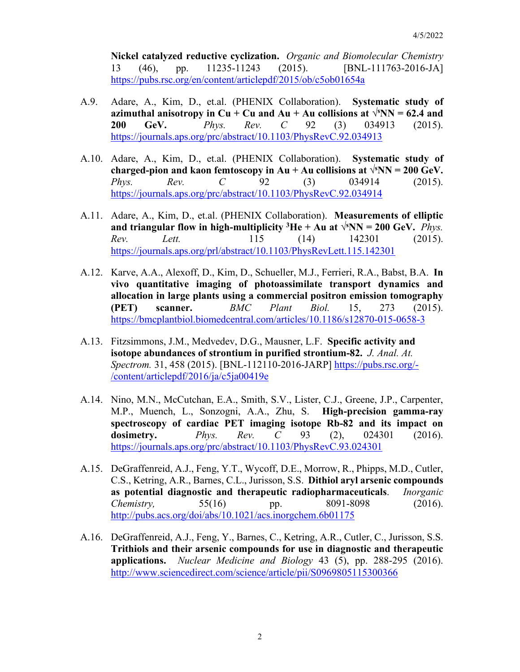**Nickel catalyzed reductive cyclization.** *Organic and Biomolecular Chemistry*  13 (46), pp. 11235-11243 (2015). [BNL-111763-2016-JA] <https://pubs.rsc.org/en/content/articlepdf/2015/ob/c5ob01654a>

- A.9. Adare, A., Kim, D., et.al. (PHENIX Collaboration). **Systematic study of azimuthal anisotropy in Cu + Cu and Au + Au collisions at**  $\sqrt{s}NN = 62.4$  **and 200 GeV.** *Phys. Rev. C* 92 (3) 034913 (2015). <https://journals.aps.org/prc/abstract/10.1103/PhysRevC.92.034913>
- A.10. Adare, A., Kim, D., et.al. (PHENIX Collaboration). **Systematic study of**  charged-pion and kaon femtoscopy in  $Au + Au$  collisions at  $\sqrt{s}NN = 200$  GeV. *Phys. Rev. C* 92 (3) 034914 (2015). <https://journals.aps.org/prc/abstract/10.1103/PhysRevC.92.034914>
- A.11. Adare, A., Kim, D., et.al. (PHENIX Collaboration). **Measurements of elliptic**  and triangular flow in high-multiplicity  ${}^{3}$ He + Au at  $\sqrt{{}^{s}}$ NN = 200 GeV. *Phys. Rev. Lett.* 115 (14) 142301 (2015). <https://journals.aps.org/prl/abstract/10.1103/PhysRevLett.115.142301>
- A.12. Karve, A.A., Alexoff, D., Kim, D., Schueller, M.J., Ferrieri, R.A., Babst, B.A. **In vivo quantitative imaging of photoassimilate transport dynamics and allocation in large plants using a commercial positron emission tomography (PET) scanner.** *BMC Plant Biol.* 15, 273 (2015). <https://bmcplantbiol.biomedcentral.com/articles/10.1186/s12870-015-0658-3>
- A.13. Fitzsimmons, J.M., Medvedev, D.G., Mausner, L.F. **Specific activity and isotope abundances of strontium in purified strontium-82.** *J. Anal. At. Spectrom.* 31, 458 (2015). [BNL-112110-2016-JARP] [https://pubs.rsc.org/-](https://pubs.rsc.org/-/content/articlepdf/2016/ja/c5ja00419e) [/content/articlepdf/2016/ja/c5ja00419e](https://pubs.rsc.org/-/content/articlepdf/2016/ja/c5ja00419e)
- A.14. Nino, M.N., McCutchan, E.A., Smith, S.V., Lister, C.J., Greene, J.P., Carpenter, M.P., Muench, L., Sonzogni, A.A., Zhu, S. **High-precision gamma-ray spectroscopy of cardiac PET imaging isotope Rb-82 and its impact on dosimetry.** *Phys. Rev. C* 93 (2), 024301 (2016). <https://journals.aps.org/prc/abstract/10.1103/PhysRevC.93.024301>
- A.15. DeGraffenreid, A.J., Feng, Y.T., Wycoff, D.E., Morrow, R., Phipps, M.D., Cutler, C.S., Ketring, A.R., Barnes, C.L., Jurisson, S.S. **Dithiol aryl arsenic compounds as potential diagnostic and therapeutic radiopharmaceuticals**. *Inorganic Chemistry,* 55(16) pp. 8091-8098 (2016). <http://pubs.acs.org/doi/abs/10.1021/acs.inorgchem.6b01175>
- A.16. DeGraffenreid, A.J., Feng, Y., Barnes, C., Ketring, A.R., Cutler, C., Jurisson, S.S. **Trithiols and their arsenic compounds for use in diagnostic and therapeutic applications.** *Nuclear Medicine and Biology* 43 (5), pp. 288-295 (2016). <http://www.sciencedirect.com/science/article/pii/S0969805115300366>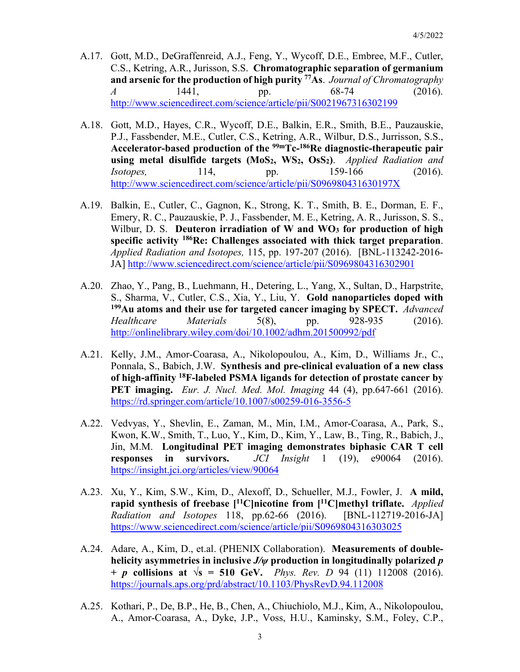- A.17. Gott, M.D., DeGraffenreid, A.J., Feng, Y., Wycoff, D.E., Embree, M.F., Cutler, C.S., Ketring, A.R., Jurisson, S.S. **Chromatographic separation of germanium and arsenic for the production of high purity 77As**. *Journal of Chromatography A* 1441, pp. 68-74 (2016). <http://www.sciencedirect.com/science/article/pii/S0021967316302199>
- A.18. Gott, M.D., Hayes, C.R., Wycoff, D.E., Balkin, E.R., Smith, B.E., Pauzauskie, P.J., Fassbender, M.E., Cutler, C.S., Ketring, A.R., Wilbur, D.S., Jurrisson, S.S., **Accelerator-based production of the 99mTc-186Re diagnostic-therapeutic pair using metal disulfide targets (MoS2, WS2, OsS2)**. *Applied Radiation and Isotopes,* 114, pp. 159-166 (2016). <http://www.sciencedirect.com/science/article/pii/S096980431630197X>
- A.19. Balkin, E., Cutler, C., Gagnon, K., Strong, K. T., Smith, B. E., Dorman, E. F., Emery, R. C., Pauzauskie, P. J., Fassbender, M. E., Ketring, A. R., Jurisson, S. S., Wilbur, D. S. **Deuteron irradiation of W and WO3 for production of high specific activity 186Re: Challenges associated with thick target preparation**. *Applied Radiation and Isotopes,* 115, pp. 197-207 (2016). [BNL-113242-2016- JA]<http://www.sciencedirect.com/science/article/pii/S0969804316302901>
- A.20. Zhao, Y., Pang, B., Luehmann, H., Detering, L., Yang, X., Sultan, D., Harpstrite, S., Sharma, V., Cutler, C.S., Xia, Y., Liu, Y. **Gold nanoparticles doped with 199Au atoms and their use for targeted cancer imaging by SPECT.** *Advanced Healthcare Materials* 5(8), pp. 928-935 (2016). <http://onlinelibrary.wiley.com/doi/10.1002/adhm.201500992/pdf>
- A.21. Kelly, J.M., Amor-Coarasa, A., Nikolopoulou, A., Kim, D., Williams Jr., C., Ponnala, S., Babich, J.W. **Synthesis and pre-clinical evaluation of a new class of high-affinity 18F-labeled PSMA ligands for detection of prostate cancer by PET imaging.** *Eur. J. Nucl. Med. Mol. Imaging* 44 (4), pp.647-661 (2016). <https://rd.springer.com/article/10.1007/s00259-016-3556-5>
- A.22. Vedvyas, Y., Shevlin, E., Zaman, M., Min, I.M., Amor-Coarasa, A., Park, S., Kwon, K.W., Smith, T., Luo, Y., Kim, D., Kim, Y., Law, B., Ting, R., Babich, J., Jin, M.M. **Longitudinal PET imaging demonstrates biphasic CAR T cell responses in survivors.** *JCI Insight* 1 (19), e90064 (2016). <https://insight.jci.org/articles/view/90064>
- A.23. Xu, Y., Kim, S.W., Kim, D., Alexoff, D., Schueller, M.J., Fowler, J. **A mild, rapid synthesis of freebase [11C]nicotine from [11C]methyl triflate.** *Applied Radiation and Isotopes* 118, pp.62-66 (2016). [BNL-112719-2016-JA] <https://www.sciencedirect.com/science/article/pii/S0969804316303025>
- A.24. Adare, A., Kim, D., et.al. (PHENIX Collaboration). **Measurements of doublehelicity asymmetries in inclusive** *J/ψ* **production in longitudinally polarized** *p* **+** *p* **collisions at √s = 510 GeV.** *Phys. Rev. D* 94 (11) 112008 (2016). <https://journals.aps.org/prd/abstract/10.1103/PhysRevD.94.112008>
- A.25. Kothari, P., De, B.P., He, B., Chen, A., Chiuchiolo, M.J., Kim, A., Nikolopoulou, A., Amor-Coarasa, A., Dyke, J.P., Voss, H.U., Kaminsky, S.M., Foley, C.P.,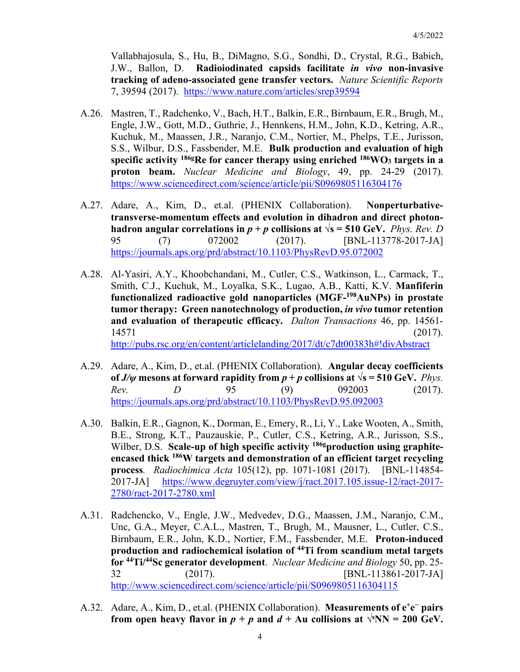Vallabhajosula, S., Hu, B., DiMagno, S.G., Sondhi, D., Crystal, R.G., Babich, J.W., Ballon, D. **Radioiodinated capsids facilitate** *in vivo* **non-invasive tracking of adeno-associated gene transfer vectors.** *Nature Scientific Reports*  7, 39594 (2017). <https://www.nature.com/articles/srep39594>

- A.26. Mastren, T., Radchenko, V., Bach, H.T., Balkin, E.R., Birnbaum, E.R., Brugh, M., Engle, J.W., Gott, M.D., Guthrie, J., Hennkens, H.M., John, K.D., Ketring, A.R., Kuchuk, M., Maassen, J.R., Naranjo, C.M., Nortier, M., Phelps, T.E., Jurisson, S.S., Wilbur, D.S., Fassbender, M.E. **Bulk production and evaluation of high specific activity 186gRe for cancer therapy using enriched 186WO3 targets in a proton beam.** *Nuclear Medicine and Biology*, 49, pp. 24-29 (2017). <https://www.sciencedirect.com/science/article/pii/S0969805116304176>
- A.27. Adare, A., Kim, D., et.al. (PHENIX Collaboration). **Nonperturbativetransverse-momentum effects and evolution in dihadron and direct photonhadron angular correlations in**  $p + p$  **collisions at**  $\sqrt{s} = 510$  **GeV.** *Phys. Rev. D* 95 (7) 072002 (2017). [BNL-113778-2017-JA] <https://journals.aps.org/prd/abstract/10.1103/PhysRevD.95.072002>
- A.28. Al-Yasiri, A.Y., Khoobchandani, M., Cutler, C.S., Watkinson, L., Carmack, T., Smith, C.J., Kuchuk, M., Loyalka, S.K., Lugao, A.B., Katti, K.V. **Manfiferin functionalized radioactive gold nanoparticles (MGF-198AuNPs) in prostate tumor therapy: Green nanotechnology of production,** *in vivo* **tumor retention and evaluation of therapeutic efficacy.** *Dalton Transactions* 46, pp. 14561- 14571 (2017). <http://pubs.rsc.org/en/content/articlelanding/2017/dt/c7dt00383h#!divAbstract>
- A.29. Adare, A., Kim, D., et.al. (PHENIX Collaboration). **Angular decay coefficients of** *J/w* mesons at forward rapidity from  $p + p$  collisions at  $\sqrt{s} = 510$  GeV. *Phys. Rev. D* 95 (9) 092003 (2017). <https://journals.aps.org/prd/abstract/10.1103/PhysRevD.95.092003>
- A.30. Balkin, E.R., Gagnon, K., Dorman, E., Emery, R., Li, Y., Lake Wooten, A., Smith, B.E., Strong, K.T., Pauzauskie, P., Cutler, C.S., Ketring, A.R., Jurisson, S.S., Wilber, D.S. **Scale-up of high specific activity 186gproduction using graphiteencased thick 186W targets and demonstration of an efficient target recycling process***. Radiochimica Acta* 105(12), pp. 1071-1081 (2017). [BNL-114854- 2017-JA] [https://www.degruyter.com/view/j/ract.2017.105.issue-12/ract-2017-](https://www.degruyter.com/view/j/ract.2017.105.issue-12/ract-2017-2780/ract-2017-2780.xml) [2780/ract-2017-2780.xml](https://www.degruyter.com/view/j/ract.2017.105.issue-12/ract-2017-2780/ract-2017-2780.xml)
- A.31. Radchencko, V., Engle, J.W., Medvedev, D.G., Maassen, J.M., Naranjo, C.M., Unc, G.A., Meyer, C.A.L., Mastren, T., Brugh, M., Mausner, L., Cutler, C.S., Birnbaum, E.R., John, K.D., Nortier, F.M., Fassbender, M.E. **Proton-induced production and radiochemical isolation of 44Ti from scandium metal targets for 44Ti/44Sc generator development**. *Nuclear Medicine and Biology* 50, pp. 25- 32 (2017). [BNL-113861-2017-JA] <http://www.sciencedirect.com/science/article/pii/S0969805116304115>
- A.32. Adare, A., Kim, D., et.al. (PHENIX Collaboration). **Measurements of e+e<sup>−</sup> pairs from open heavy flavor in**  $p + p$  **and**  $d + \text{Au}$  **collisions at**  $\sqrt{s}NN = 200 \text{ GeV}$ **.**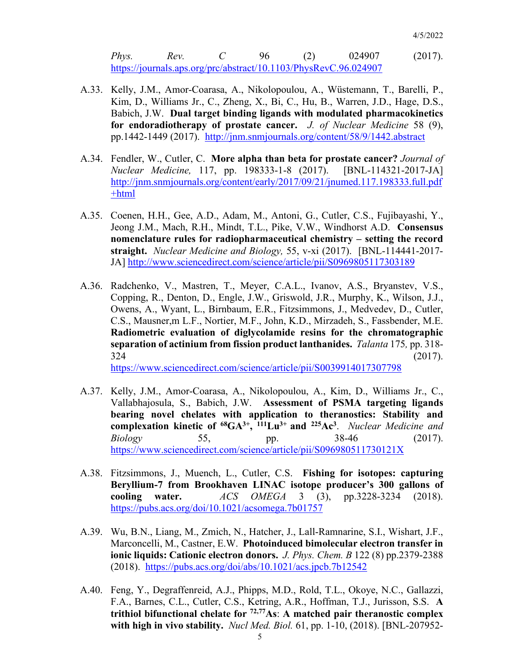*Phys. Rev. C* 96 (2) 024907 (2017). <https://journals.aps.org/prc/abstract/10.1103/PhysRevC.96.024907>

- A.33. Kelly, J.M., Amor-Coarasa, A., Nikolopoulou, A., Wüstemann, T., Barelli, P., Kim, D., Williams Jr., C., Zheng, X., Bi, C., Hu, B., Warren, J.D., Hage, D.S., Babich, J.W. **Dual target binding ligands with modulated pharmacokinetics for endoradiotherapy of prostate cancer.** *J. of Nuclear Medicine* 58 (9), pp.1442-1449 (2017). <http://jnm.snmjournals.org/content/58/9/1442.abstract>
- A.34. Fendler, W., Cutler, C. **More alpha than beta for prostate cancer?** *Journal of Nuclear Medicine,* 117, pp. 198333-1-8 (2017).[BNL-114321-2017-JA] [http://jnm.snmjournals.org/content/early/2017/09/21/jnumed.117.198333.full.pdf](http://jnm.snmjournals.org/content/early/2017/09/21/jnumed.117.198333.full.pdf+html) [+html](http://jnm.snmjournals.org/content/early/2017/09/21/jnumed.117.198333.full.pdf+html)
- A.35. Coenen, H.H., Gee, A.D., Adam, M., Antoni, G., Cutler, C.S., Fujibayashi, Y., Jeong J.M., Mach, R.H., Mindt, T.L., Pike, V.W., Windhorst A.D. **Consensus nomenclature rules for radiopharmaceutical chemistry – setting the record straight.** *Nuclear Medicine and Biology,* 55, v-xi (2017). [BNL-114441-2017- JA] <http://www.sciencedirect.com/science/article/pii/S0969805117303189>
- A.36. Radchenko, V., Mastren, T., Meyer, C.A.L., Ivanov, A.S., Bryanstev, V.S., Copping, R., Denton, D., Engle, J.W., Griswold, J.R., Murphy, K., Wilson, J.J., Owens, A., Wyant, L., Birnbaum, E.R., Fitzsimmons, J., Medvedev, D., Cutler, C.S., Mausner,m L.F., Nortier, M.F., John, K.D., Mirzadeh, S., Fassbender, M.E. **Radiometric evaluation of diglycolamide resins for the chromatographic separation of actinium from fission product lanthanides.** *Talanta* 175*,* pp. 318-  $324$  (2017). <https://www.sciencedirect.com/science/article/pii/S0039914017307798>

A.37. Kelly, J.M., Amor-Coarasa, A., Nikolopoulou, A., Kim, D., Williams Jr., C., Vallabhajosula, S., Babich, J.W. **Assessment of PSMA targeting ligands bearing novel chelates with application to theranostics: Stability and complexation kinetic of 68GA3+, 111Lu3+ and 225Ac3**. *Nuclear Medicine and Biology* 55, pp. 38-46 (2017).

<https://www.sciencedirect.com/science/article/pii/S096980511730121X>

- A.38. Fitzsimmons, J., Muench, L., Cutler, C.S. **Fishing for isotopes: capturing Beryllium-7 from Brookhaven LINAC isotope producer's 300 gallons of cooling water.** *ACS OMEGA* 3 (3), pp.3228-3234 (2018). <https://pubs.acs.org/doi/10.1021/acsomega.7b01757>
- A.39. Wu, B.N., Liang, M., Zmich, N., Hatcher, J., Lall-Ramnarine, S.I., Wishart, J.F., Marconcelli, M., Castner, E.W. **Photoinduced bimolecular electron transfer in ionic liquids: Cationic electron donors.** *J. Phys. Chem. B* 122 (8) pp.2379-2388 (2018). <https://pubs.acs.org/doi/abs/10.1021/acs.jpcb.7b12542>
- A.40. Feng, Y., Degraffenreid, A.J., Phipps, M.D., Rold, T.L., Okoye, N.C., Gallazzi, F.A., Barnes, C.L., Cutler, C.S., Ketring, A.R., Hoffman, T.J., Jurisson, S.S. **A trithiol bifunctional chelate for 72,77As**: **A matched pair theranostic complex with high in vivo stability.** *Nucl Med. Biol.* 61, pp. 1-10, (2018). [BNL-207952-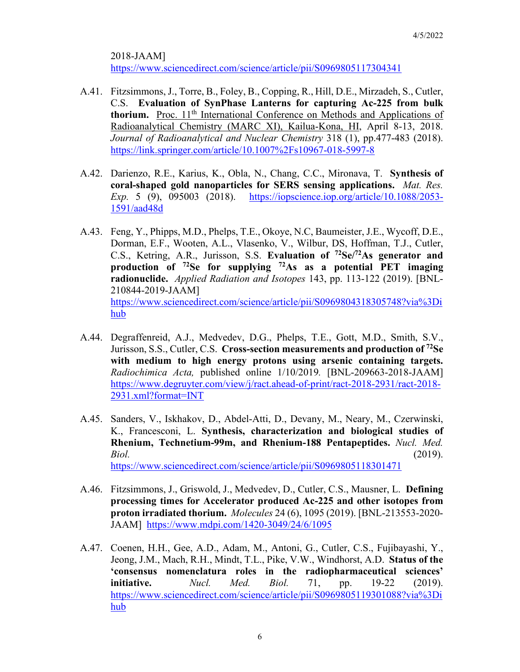2018-JAAM] <https://www.sciencedirect.com/science/article/pii/S0969805117304341>

- A.41. Fitzsimmons, J., Torre, B., Foley, B., Copping, R., Hill, D.E., Mirzadeh, S., Cutler, C.S. **Evaluation of SynPhase Lanterns for capturing Ac-225 from bulk thorium.** Proc. 11<sup>th</sup> International Conference on Methods and Applications of Radioanalytical Chemistry (MARC XI), Kailua-Kona, HI, April 8-13, 2018. *Journal of Radioanalytical and Nuclear Chemistry* 318 (1), pp.477-483 (2018). <https://link.springer.com/article/10.1007%2Fs10967-018-5997-8>
- A.42. Darienzo, R.E., Karius, K., Obla, N., Chang, C.C., Mironava, T. **Synthesis of coral-shaped gold nanoparticles for SERS sensing applications.** *Mat. Res. Exp.* 5 (9), 095003 (2018). [https://iopscience.iop.org/article/10.1088/2053-](https://iopscience.iop.org/article/10.1088/2053-1591/aad48d) [1591/aad48d](https://iopscience.iop.org/article/10.1088/2053-1591/aad48d)
- A.43. Feng, Y., Phipps, M.D., Phelps, T.E., Okoye, N.C, Baumeister, J.E., Wycoff, D.E., Dorman, E.F., Wooten, A.L., Vlasenko, V., Wilbur, DS, Hoffman, T.J., Cutler, C.S., Ketring, A.R., Jurisson, S.S. **Evaluation of 72Se/72As generator and production of 72Se for supplying 72As as a potential PET imaging radionuclide.** *Applied Radiation and Isotopes* 143, pp. 113-122 (2019). [BNL-210844-2019-JAAM] [https://www.sciencedirect.com/science/article/pii/S0969804318305748?via%3Di](https://www.sciencedirect.com/science/article/pii/S0969804318305748?via%3Dihub) [hub](https://www.sciencedirect.com/science/article/pii/S0969804318305748?via%3Dihub)
- A.44. Degraffenreid, A.J., Medvedev, D.G., Phelps, T.E., Gott, M.D., Smith, S.V., Jurisson, S.S., Cutler, C.S. **Cross-section measurements and production of 72Se with medium to high energy protons using arsenic containing targets.**  *Radiochimica Acta,* published online 1/10/2019*.* [BNL-209663-2018-JAAM] [https://www.degruyter.com/view/j/ract.ahead-of-print/ract-2018-2931/ract-2018-](https://www.degruyter.com/view/j/ract.ahead-of-print/ract-2018-2931/ract-2018-2931.xml?format=INT) [2931.xml?format=INT](https://www.degruyter.com/view/j/ract.ahead-of-print/ract-2018-2931/ract-2018-2931.xml?format=INT)
- A.45. Sanders, V., Iskhakov, D., Abdel-Atti, D., Devany, M., Neary, M., Czerwinski, K., Francesconi, L. **Synthesis, characterization and biological studies of Rhenium, Technetium-99m, and Rhenium-188 Pentapeptides.** *Nucl. Med. Biol.* (2019). <https://www.sciencedirect.com/science/article/pii/S0969805118301471>
- A.46. Fitzsimmons, J., Griswold, J., Medvedev, D., Cutler, C.S., Mausner, L. **Defining processing times for Accelerator produced Ac-225 and other isotopes from proton irradiated thorium.** *Molecules* 24 (6), 1095 (2019). [BNL-213553-2020- JAAM] <https://www.mdpi.com/1420-3049/24/6/1095>
- A.47. Coenen, H.H., Gee, A.D., Adam, M., Antoni, G., Cutler, C.S., Fujibayashi, Y., Jeong, J.M., Mach, R.H., Mindt, T.L., Pike, V.W., Windhorst, A.D. **Status of the 'consensus nomenclatura roles in the radiopharmaceutical sciences' initiative.** *Nucl. Med. Biol.* 71, pp. 19-22 (2019). [https://www.sciencedirect.com/science/article/pii/S0969805119301088?via%3Di](https://www.sciencedirect.com/science/article/pii/S0969805119301088?via%3Dihub) [hub](https://www.sciencedirect.com/science/article/pii/S0969805119301088?via%3Dihub)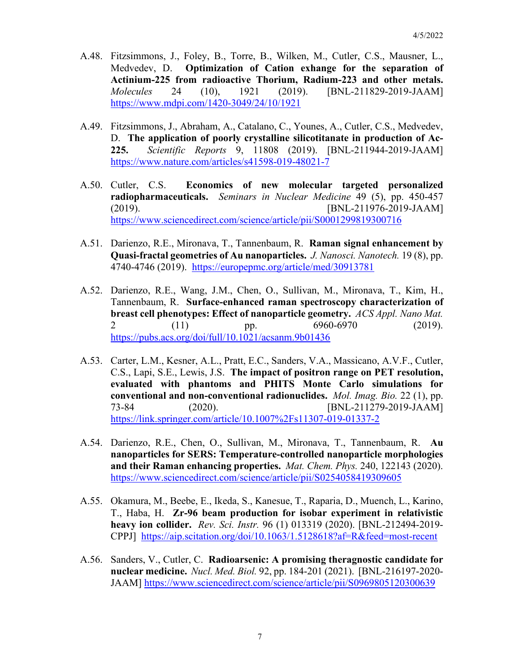- A.48. Fitzsimmons, J., Foley, B., Torre, B., Wilken, M., Cutler, C.S., Mausner, L., Medvedev, D. **Optimization of Cation exhange for the separation of Actinium-225 from radioactive Thorium, Radium-223 and other metals.**  *Molecules* 24 (10), 1921 (2019). [BNL-211829-2019-JAAM] <https://www.mdpi.com/1420-3049/24/10/1921>
- A.49. Fitzsimmons, J., Abraham, A., Catalano, C., Younes, A., Cutler, C.S., Medvedev, D. **The application of poorly crystalline silicotitanate in production of Ac-225.** *Scientific Reports* 9, 11808 (2019). [BNL-211944-2019-JAAM] <https://www.nature.com/articles/s41598-019-48021-7>
- A.50. Cutler, C.S. **Economics of new molecular targeted personalized radiopharmaceuticals.** *Seminars in Nuclear Medicine* 49 (5), pp. 450-457 (2019). [BNL-211976-2019-JAAM] <https://www.sciencedirect.com/science/article/pii/S0001299819300716>
- A.51. Darienzo, R.E., Mironava, T., Tannenbaum, R. **Raman signal enhancement by Quasi-fractal geometries of Au nanoparticles.** *J. Nanosci. Nanotech.* 19 (8), pp. 4740-4746 (2019). <https://europepmc.org/article/med/30913781>
- A.52. Darienzo, R.E., Wang, J.M., Chen, O., Sullivan, M., Mironava, T., Kim, H., Tannenbaum, R. **Surface-enhanced raman spectroscopy characterization of breast cell phenotypes: Effect of nanoparticle geometry.** *ACS Appl. Nano Mat.*  2 (11) pp. 6960-6970 (2019). <https://pubs.acs.org/doi/full/10.1021/acsanm.9b01436>
- A.53. Carter, L.M., Kesner, A.L., Pratt, E.C., Sanders, V.A., Massicano, A.V.F., Cutler, C.S., Lapi, S.E., Lewis, J.S. **The impact of positron range on PET resolution, evaluated with phantoms and PHITS Monte Carlo simulations for conventional and non-conventional radionuclides.** *Mol. Imag. Bio.* 22 (1), pp. 73-84 (2020). [BNL-211279-2019-JAAM] <https://link.springer.com/article/10.1007%2Fs11307-019-01337-2>
- A.54. Darienzo, R.E., Chen, O., Sullivan, M., Mironava, T., Tannenbaum, R. **Au nanoparticles for SERS: Temperature-controlled nanoparticle morphologies and their Raman enhancing properties.** *Mat. Chem. Phys.* 240, 122143 (2020). <https://www.sciencedirect.com/science/article/pii/S0254058419309605>
- A.55. Okamura, M., Beebe, E., Ikeda, S., Kanesue, T., Raparia, D., Muench, L., Karino, T., Haba, H. **Zr-96 beam production for isobar experiment in relativistic heavy ion collider.** *Rev. Sci. Instr.* 96 (1) 013319 (2020). [BNL-212494-2019- CPPJ] <https://aip.scitation.org/doi/10.1063/1.5128618?af=R&feed=most-recent>
- A.56. Sanders, V., Cutler, C. **Radioarsenic: A promising theragnostic candidate for nuclear medicine.** *Nucl. Med. Biol.* 92, pp. 184-201 (2021). [BNL-216197-2020- JAAM]<https://www.sciencedirect.com/science/article/pii/S0969805120300639>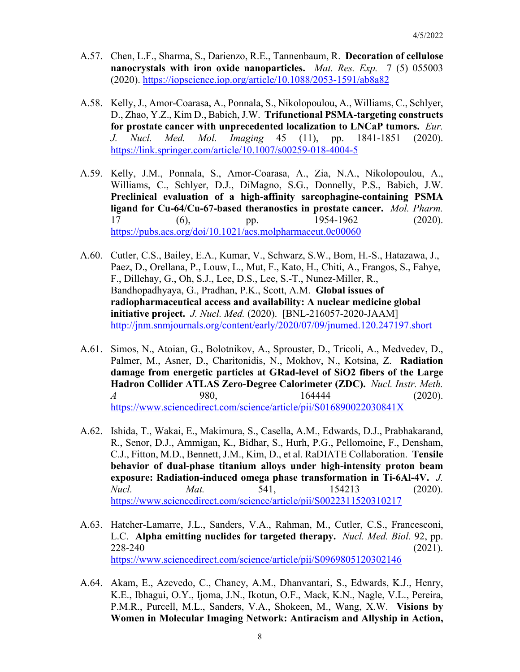- A.57. Chen, L.F., Sharma, S., Darienzo, R.E., Tannenbaum, R. **Decoration of cellulose nanocrystals with iron oxide nanoparticles.** *Mat. Res. Exp.* 7 (5) 055003 (2020).<https://iopscience.iop.org/article/10.1088/2053-1591/ab8a82>
- A.58. Kelly, J., Amor-Coarasa, A., Ponnala, S., Nikolopoulou, A., Williams, C., Schlyer, D., Zhao, Y.Z., Kim D., Babich, J.W. **Trifunctional PSMA-targeting constructs for prostate cancer with unprecedented localization to LNCaP tumors.** *Eur. J. Nucl. Med. Mol. Imaging* 45 (11), pp. 1841-1851 (2020). <https://link.springer.com/article/10.1007/s00259-018-4004-5>
- A.59. Kelly, J.M., Ponnala, S., Amor-Coarasa, A., Zia, N.A., Nikolopoulou, A., Williams, C., Schlyer, D.J., DiMagno, S.G., Donnelly, P.S., Babich, J.W. **Preclinical evaluation of a high-affinity sarcophagine-containing PSMA ligand for Cu-64/Cu-67-based theranostics in prostate cancer.** *Mol. Pharm.* 17 (6), pp. 1954-1962 (2020). <https://pubs.acs.org/doi/10.1021/acs.molpharmaceut.0c00060>
- A.60. Cutler, C.S., Bailey, E.A., Kumar, V., Schwarz, S.W., Bom, H.-S., Hatazawa, J., Paez, D., Orellana, P., Louw, L., Mut, F., Kato, H., Chiti, A., Frangos, S., Fahye, F., Dillehay, G., Oh, S.J., Lee, D.S., Lee, S.-T., Nunez-Miller, R., Bandhopadhyaya, G., Pradhan, P.K., Scott, A.M. **Global issues of radiopharmaceutical access and availability: A nuclear medicine global initiative project.** *J. Nucl. Med.* (2020). [BNL-216057-2020-JAAM] <http://jnm.snmjournals.org/content/early/2020/07/09/jnumed.120.247197.short>
- A.61. Simos, N., Atoian, G., Bolotnikov, A., Sprouster, D., Tricoli, A., Medvedev, D., Palmer, M., Asner, D., Charitonidis, N., Mokhov, N., Kotsina, Z. **Radiation damage from energetic particles at GRad-level of SiO2 fibers of the Large Hadron Collider ATLAS Zero-Degree Calorimeter (ZDC).** *Nucl. Instr. Meth. A* 980, 164444 (2020). <https://www.sciencedirect.com/science/article/pii/S016890022030841X>
- A.62. Ishida, T., Wakai, E., Makimura, S., Casella, A.M., Edwards, D.J., Prabhakarand, R., Senor, D.J., Ammigan, K., Bidhar, S., Hurh, P.G., Pellomoine, F., Densham, C.J., Fitton, M.D., Bennett, J.M., Kim, D., et al. RaDIATE Collaboration. **Tensile behavior of dual-phase titanium alloys under high-intensity proton beam exposure: Radiation-induced omega phase transformation in Ti-6Al-4V.** *J. Nucl. Mat.* 541, 154213 (2020). <https://www.sciencedirect.com/science/article/pii/S0022311520310217>
- A.63. Hatcher-Lamarre, J.L., Sanders, V.A., Rahman, M., Cutler, C.S., Francesconi, L.C. **Alpha emitting nuclides for targeted therapy.** *Nucl. Med. Biol.* 92, pp. 228-240 (2021). <https://www.sciencedirect.com/science/article/pii/S0969805120302146>
- A.64. Akam, E., Azevedo, C., Chaney, A.M., Dhanvantari, S., Edwards, K.J., Henry, K.E., Ibhagui, O.Y., Ijoma, J.N., Ikotun, O.F., Mack, K.N., Nagle, V.L., Pereira, P.M.R., Purcell, M.L., Sanders, V.A., Shokeen, M., Wang, X.W. **Visions by Women in Molecular Imaging Network: Antiracism and Allyship in Action,**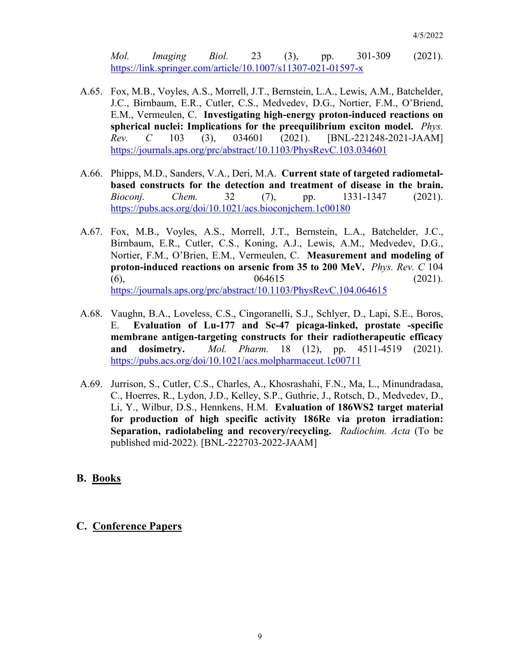*Mol. Imaging Biol.* 23 (3), pp. 301-309 (2021). <https://link.springer.com/article/10.1007/s11307-021-01597-x>

- A.65. Fox, M.B., Voyles, A.S., Morrell, J.T., Bernstein, L.A., Lewis, A.M., Batchelder, J.C., Birnbaum, E.R., Cutler, C.S., Medvedev, D.G., Nortier, F.M., O'Briend, E.M., Vermeulen, C. **Investigating high-energy proton-induced reactions on spherical nuclei: Implications for the preequilibrium exciton model.** *Phys. Rev. C* 103 (3), 034601 (2021). [BNL-221248-2021-JAAM] <https://journals.aps.org/prc/abstract/10.1103/PhysRevC.103.034601>
- A.66. Phipps, M.D., Sanders, V.A., Deri, M.A. **Current state of targeted radiometalbased constructs for the detection and treatment of disease in the brain.**  *Bioconj. Chem.* 32 (7), pp. 1331-1347 (2021). <https://pubs.acs.org/doi/10.1021/acs.bioconjchem.1c00180>
- A.67. Fox, M.B., Voyles, A.S., Morrell, J.T., Bernstein, L.A., Batchelder, J.C., Birnbaum, E.R., Cutler, C.S., Koning, A.J., Lewis, A.M., Medvedev, D.G., Nortier, F.M., O'Brien, E.M., Vermeulen, C. **Measurement and modeling of proton-induced reactions on arsenic from 35 to 200 MeV.** *Phys. Rev. C* 104 (6),  $064615$  (2021). <https://journals.aps.org/prc/abstract/10.1103/PhysRevC.104.064615>
- A.68. Vaughn, B.A., Loveless, C.S., Cingoranelli, S.J., Schlyer, D., Lapi, S.E., Boros, E. **Evaluation of Lu-177 and Sc-47 picaga-linked, prostate -specific membrane antigen-targeting constructs for their radiotherapeutic efficacy and dosimetry.** *Mol. Pharm.* 18 (12), pp. 4511-4519 (2021). <https://pubs.acs.org/doi/10.1021/acs.molpharmaceut.1c00711>
- A.69. Jurrison, S., Cutler, C.S., Charles, A., Khosrashahi, F.N., Ma, L., Minundradasa, C., Hoerres, R., Lydon, J.D., Kelley, S.P., Guthrie, J., Rotsch, D., Medvedev, D., Li, Y., Wilbur, D.S., Hennkens, H.M. **Evaluation of 186WS2 target material for production of high specific activity 186Re via proton irradiation: Separation, radiolabeling and recovery/recycling.** *Radiochim. Acta* (To be published mid-2022). [BNL-222703-2022-JAAM]

#### **B. Books**

#### **C. Conference Papers**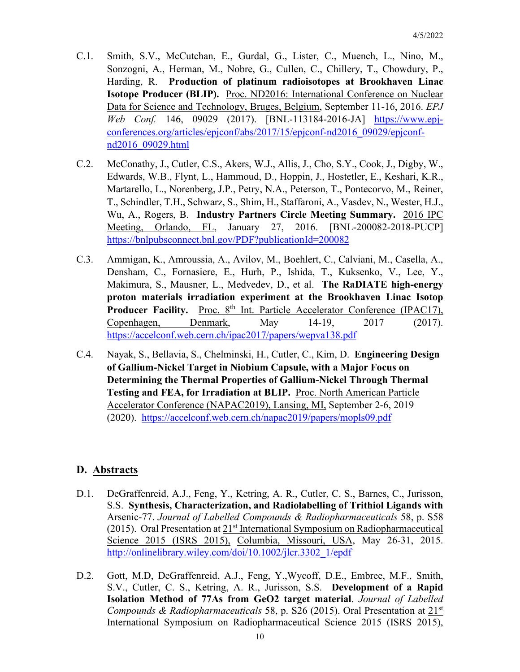- C.1. Smith, S.V., McCutchan, E., Gurdal, G., Lister, C., Muench, L., Nino, M., Sonzogni, A., Herman, M., Nobre, G., Cullen, C., Chillery, T., Chowdury, P., Harding, R. **Production of platinum radioisotopes at Brookhaven Linac Isotope Producer (BLIP).** Proc. ND2016: International Conference on Nuclear Data for Science and Technology, Bruges, Belgium, September 11-16, 2016. *EPJ Web Conf.* 146, 09029 (2017). [BNL-113184-2016-JA] [https://www.epj](https://www.epj-conferences.org/articles/epjconf/abs/2017/15/epjconf-nd2016_09029/epjconf-nd2016_09029.html)[conferences.org/articles/epjconf/abs/2017/15/epjconf-nd2016\\_09029/epjconf](https://www.epj-conferences.org/articles/epjconf/abs/2017/15/epjconf-nd2016_09029/epjconf-nd2016_09029.html)[nd2016\\_09029.html](https://www.epj-conferences.org/articles/epjconf/abs/2017/15/epjconf-nd2016_09029/epjconf-nd2016_09029.html)
- C.2. McConathy, J., Cutler, C.S., Akers, W.J., Allis, J., Cho, S.Y., Cook, J., Digby, W., Edwards, W.B., Flynt, L., Hammoud, D., Hoppin, J., Hostetler, E., Keshari, K.R., Martarello, L., Norenberg, J.P., Petry, N.A., Peterson, T., Pontecorvo, M., Reiner, T., Schindler, T.H., Schwarz, S., Shim, H., Staffaroni, A., Vasdev, N., Wester, H.J., Wu, A., Rogers, B. **Industry Partners Circle Meeting Summary.** 2016 IPC Meeting, Orlando, FL, January 27, 2016. [BNL-200082-2018-PUCP] <https://bnlpubsconnect.bnl.gov/PDF?publicationId=200082>
- C.3. Ammigan, K., Amroussia, A., Avilov, M., Boehlert, C., Calviani, M., Casella, A., Densham, C., Fornasiere, E., Hurh, P., Ishida, T., Kuksenko, V., Lee, Y., Makimura, S., Mausner, L., Medvedev, D., et al. **The RaDIATE high-energy proton materials irradiation experiment at the Brookhaven Linac Isotop Producer Facility.** Proc. 8<sup>th</sup> Int. Particle Accelerator Conference (IPAC17), Copenhagen, Denmark, May 14-19, 2017 (2017). <https://accelconf.web.cern.ch/ipac2017/papers/wepva138.pdf>
- C.4. Nayak, S., Bellavia, S., Chelminski, H., Cutler, C., Kim, D. **Engineering Design of Gallium-Nickel Target in Niobium Capsule, with a Major Focus on Determining the Thermal Properties of Gallium-Nickel Through Thermal Testing and FEA, for Irradiation at BLIP.** Proc. North American Particle Accelerator Conference (NAPAC2019), Lansing, MI, September 2-6, 2019 (2020). <https://accelconf.web.cern.ch/napac2019/papers/mopls09.pdf>

# **D. Abstracts**

- D.1. DeGraffenreid, A.J., Feng, Y., Ketring, A. R., Cutler, C. S., Barnes, C., Jurisson, S.S. **Synthesis, Characterization, and Radiolabelling of Trithiol Ligands with**  Arsenic-77. *Journal of Labelled Compounds & Radiopharmaceuticals* 58, p. S58 (2015). Oral Presentation at  $21<sup>st</sup>$  International Symposium on Radiopharmaceutical Science 2015 (ISRS 2015), Columbia, Missouri, USA, May 26-31, 2015. [http://onlinelibrary.wiley.com/doi/10.1002/jlcr.3302\\_1/epdf](http://onlinelibrary.wiley.com/doi/10.1002/jlcr.3302_1/epdf)
- D.2. Gott, M.D, DeGraffenreid, A.J., Feng, Y.,Wycoff, D.E., Embree, M.F., Smith, S.V., Cutler, C. S., Ketring, A. R., Jurisson, S.S. **Development of a Rapid Isolation Method of 77As from GeO2 target material**. *Journal of Labelled Compounds & Radiopharmaceuticals* 58, p. S26 (2015). Oral Presentation at 21st International Symposium on Radiopharmaceutical Science 2015 (ISRS 2015),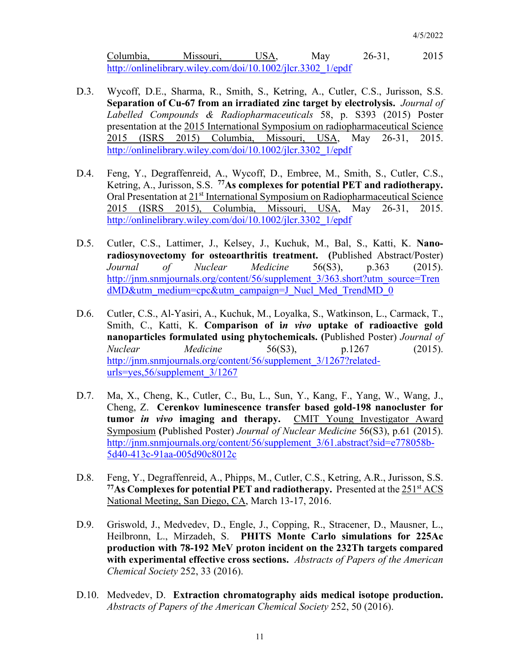Columbia, Missouri, USA, May 26-31, 2015 [http://onlinelibrary.wiley.com/doi/10.1002/jlcr.3302\\_1/epdf](http://onlinelibrary.wiley.com/doi/10.1002/jlcr.3302_1/epdf)

- D.3. Wycoff, D.E., Sharma, R., Smith, S., Ketring, A., Cutler, C.S., Jurisson, S.S. **Separation of Cu-67 from an irradiated zinc target by electrolysis.** *Journal of Labelled Compounds & Radiopharmaceuticals* 58, p. S393 (2015) Poster presentation at the 2015 International Symposium on radiopharmaceutical Science 2015 (ISRS 2015) Columbia, Missouri, USA, May 26-31, 2015. [http://onlinelibrary.wiley.com/doi/10.1002/jlcr.3302\\_1/epdf](http://onlinelibrary.wiley.com/doi/10.1002/jlcr.3302_1/epdf)
- D.4. Feng, Y., Degraffenreid, A., Wycoff, D., Embree, M., Smith, S., Cutler, C.S., Ketring, A., Jurisson, S.S. **77As complexes for potential PET and radiotherapy.**  Oral Presentation at 21<sup>st</sup> International Symposium on Radiopharmaceutical Science 2015 (ISRS 2015), Columbia, Missouri, USA, May 26-31, 2015. [http://onlinelibrary.wiley.com/doi/10.1002/jlcr.3302\\_1/epdf](http://onlinelibrary.wiley.com/doi/10.1002/jlcr.3302_1/epdf)
- D.5. Cutler, C.S., Lattimer, J., Kelsey, J., Kuchuk, M., Bal, S., Katti, K. **Nanoradiosynovectomy for osteoarthritis treatment. (**Published Abstract/Poster) *Journal of Nuclear Medicine* 56(S3), p.363 (2015). [http://jnm.snmjournals.org/content/56/supplement\\_3/363.short?utm\\_source=Tren](http://jnm.snmjournals.org/content/56/supplement_3/363.short?utm_source=TrendMD&utm_medium=cpc&utm_campaign=J_Nucl_Med_TrendMD_0) [dMD&utm\\_medium=cpc&utm\\_campaign=J\\_Nucl\\_Med\\_TrendMD\\_0](http://jnm.snmjournals.org/content/56/supplement_3/363.short?utm_source=TrendMD&utm_medium=cpc&utm_campaign=J_Nucl_Med_TrendMD_0)
- D.6. Cutler, C.S., Al-Yasiri, A., Kuchuk, M., Loyalka, S., Watkinson, L., Carmack, T., Smith, C., Katti, K. **Comparison of i***n vivo* **uptake of radioactive gold nanoparticles formulated using phytochemicals. (**Published Poster) *Journal of Nuclear Medicine* 56(S3), p.1267 (2015). http://inm.snmjournals.org/content/56/supplement\_3/1267?related[urls=yes,56/supplement\\_3/1267](http://jnm.snmjournals.org/content/56/supplement_3/1267?related-urls=yes;56/supplement_3/1267)
- D.7. Ma, X., Cheng, K., Cutler, C., Bu, L., Sun, Y., Kang, F., Yang, W., Wang, J., Cheng, Z. **Cerenkov luminescence transfer based gold-198 nanocluster for tumor** *in vivo* **imaging and therapy.** CMIT Young Investigator Award Symposium **(**Published Poster) *Journal of Nuclear Medicine* 56(S3), p.61 (2015). [http://jnm.snmjournals.org/content/56/supplement\\_3/61.abstract?sid=e778058b-](http://jnm.snmjournals.org/content/56/supplement_3/61.abstract?sid=e778058b-5d40-413c-91aa-005d90c8012c)[5d40-413c-91aa-005d90c8012c](http://jnm.snmjournals.org/content/56/supplement_3/61.abstract?sid=e778058b-5d40-413c-91aa-005d90c8012c)
- D.8. Feng, Y., Degraffenreid, A., Phipps, M., Cutler, C.S., Ketring, A.R., Jurisson, S.S. **77As Complexes for potential PET and radiotherapy.** Presented at the 251st ACS National Meeting, San Diego, CA, March 13-17, 2016.
- D.9. Griswold, J., Medvedev, D., Engle, J., Copping, R., Stracener, D., Mausner, L., Heilbronn, L., Mirzadeh, S. **PHITS Monte Carlo simulations for 225Ac production with 78-192 MeV proton incident on the 232Th targets compared with experimental effective cross sections.** *Abstracts of Papers of the American Chemical Society* 252, 33 (2016).
- D.10. Medvedev, D. **Extraction chromatography aids medical isotope production.**  *Abstracts of Papers of the American Chemical Society* 252, 50 (2016).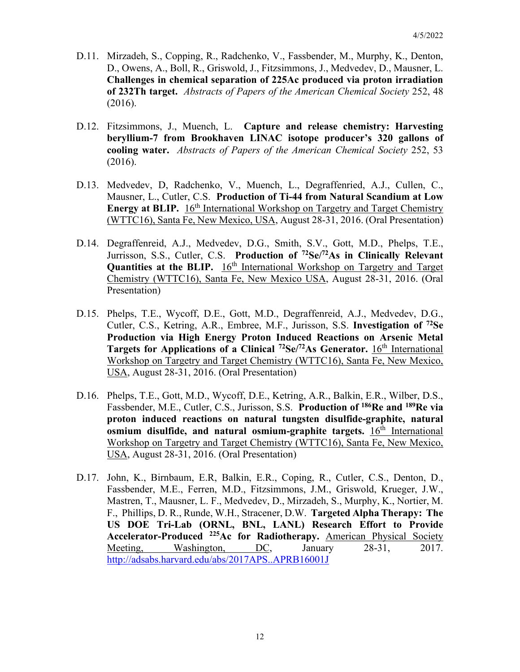- D.11. Mirzadeh, S., Copping, R., Radchenko, V., Fassbender, M., Murphy, K., Denton, D., Owens, A., Boll, R., Griswold, J., Fitzsimmons, J., Medvedev, D., Mausner, L. **Challenges in chemical separation of 225Ac produced via proton irradiation of 232Th target.** *Abstracts of Papers of the American Chemical Society* 252, 48 (2016).
- D.12. Fitzsimmons, J., Muench, L. **Capture and release chemistry: Harvesting beryllium-7 from Brookhaven LINAC isotope producer's 320 gallons of cooling water.** *Abstracts of Papers of the American Chemical Society* 252, 53 (2016).
- D.13. Medvedev, D, Radchenko, V., Muench, L., Degraffenried, A.J., Cullen, C., Mausner, L., Cutler, C.S. **Production of Ti-44 from Natural Scandium at Low Energy at BLIP.** 16<sup>th</sup> International Workshop on Targetry and Target Chemistry (WTTC16), Santa Fe, New Mexico, USA, August 28-31, 2016. (Oral Presentation)
- D.14. Degraffenreid, A.J., Medvedev, D.G., Smith, S.V., Gott, M.D., Phelps, T.E., Jurrisson, S.S., Cutler, C.S. **Production of 72Se/72As in Clinically Relevant Quantities at the BLIP.** 16<sup>th</sup> International Workshop on Targetry and Target Chemistry (WTTC16), Santa Fe, New Mexico USA, August 28-31, 2016. (Oral Presentation)
- D.15. Phelps, T.E., Wycoff, D.E., Gott, M.D., Degraffenreid, A.J., Medvedev, D.G., Cutler, C.S., Ketring, A.R., Embree, M.F., Jurisson, S.S. **Investigation of 72Se Production via High Energy Proton Induced Reactions on Arsenic Metal Targets for Applications of a Clinical <sup>72</sup>Se/<sup>72</sup>As Generator. 16<sup>th</sup> International** Workshop on Targetry and Target Chemistry (WTTC16), Santa Fe, New Mexico, USA, August 28-31, 2016. (Oral Presentation)
- D.16. Phelps, T.E., Gott, M.D., Wycoff, D.E., Ketring, A.R., Balkin, E.R., Wilber, D.S., Fassbender, M.E., Cutler, C.S., Jurisson, S.S. **Production of 186Re and 189Re via proton induced reactions on natural tungsten disulfide-graphite, natural osmium disulfide, and natural osmium-graphite targets.** 16<sup>th</sup> International Workshop on Targetry and Target Chemistry (WTTC16), Santa Fe, New Mexico, USA, August 28-31, 2016. (Oral Presentation)
- D.17. John, K., Birnbaum, E.R, Balkin, E.R., Coping, R., Cutler, C.S., Denton, D., Fassbender, M.E., Ferren, M.D., Fitzsimmons, J.M., Griswold, Krueger, J.W., Mastren, T., Mausner, L. F., Medvedev, D., Mirzadeh, S., Murphy, K., Nortier, M. F., Phillips, D. R., Runde, W.H., Stracener, D.W. **Targeted Alpha Therapy: The US DOE Tri-Lab (ORNL, BNL, LANL) Research Effort to Provide Accelerator-Produced 225Ac for Radiotherapy.** American Physical Society Meeting, Washington, DC, January 28-31, 2017. <http://adsabs.harvard.edu/abs/2017APS..APRB16001J>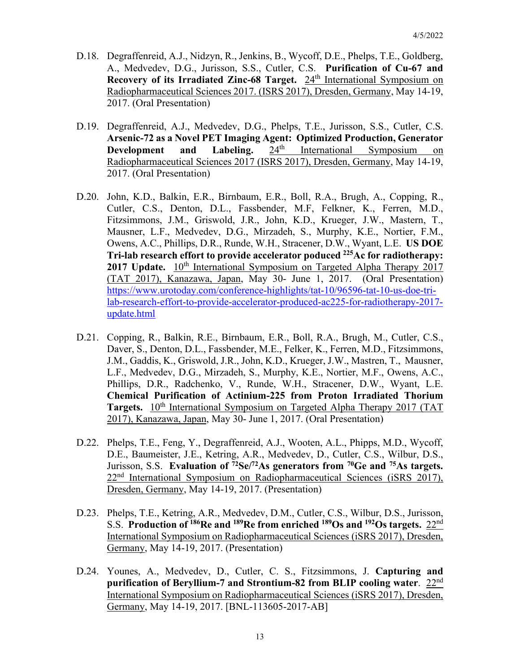- D.18. Degraffenreid, A.J., Nidzyn, R., Jenkins, B., Wycoff, D.E., Phelps, T.E., Goldberg, A., Medvedev, D.G., Jurisson, S.S., Cutler, C.S. **Purification of Cu-67 and Recovery of its Irradiated Zinc-68 Target.** 24<sup>th</sup> International Symposium on Radiopharmaceutical Sciences 2017. (ISRS 2017), Dresden, Germany, May 14-19, 2017. (Oral Presentation)
- D.19. Degraffenreid, A.J., Medvedev, D.G., Phelps, T.E., Jurisson, S.S., Cutler, C.S. **Arsenic-72 as a Novel PET Imaging Agent: Optimized Production, Generator Development and Labeling.** 24<sup>th</sup> International Symposium on **Development and Labeling.** 24<sup>th</sup> International Symposium on Radiopharmaceutical Sciences 2017 (ISRS 2017), Dresden, Germany, May 14-19, 2017. (Oral Presentation)
- D.20. John, K.D., Balkin, E.R., Birnbaum, E.R., Boll, R.A., Brugh, A., Copping, R., Cutler, C.S., Denton, D.L., Fassbender, M.F, Felkner, K., Ferren, M.D., Fitzsimmons, J.M., Griswold, J.R., John, K.D., Krueger, J.W., Mastern, T., Mausner, L.F., Medvedev, D.G., Mirzadeh, S., Murphy, K.E., Nortier, F.M., Owens, A.C., Phillips, D.R., Runde, W.H., Stracener, D.W., Wyant, L.E. **US DOE Tri-lab research effort to provide accelerator poduced 225Ac for radiotherapy: 2017 Update.** 10<sup>th</sup> International Symposium on Targeted Alpha Therapy 2017 (TAT 2017), Kanazawa, Japan, May 30- June 1, 2017. (Oral Presentation) [https://www.urotoday.com/conference-highlights/tat-10/96596-tat-10-us-doe-tri](https://www.urotoday.com/conference-highlights/tat-10/96596-tat-10-us-doe-tri-lab-research-effort-to-provide-accelerator-produced-ac225-for-radiotherapy-2017-update.html)[lab-research-effort-to-provide-accelerator-produced-ac225-for-radiotherapy-2017](https://www.urotoday.com/conference-highlights/tat-10/96596-tat-10-us-doe-tri-lab-research-effort-to-provide-accelerator-produced-ac225-for-radiotherapy-2017-update.html) [update.html](https://www.urotoday.com/conference-highlights/tat-10/96596-tat-10-us-doe-tri-lab-research-effort-to-provide-accelerator-produced-ac225-for-radiotherapy-2017-update.html)
- D.21. Copping, R., Balkin, R.E., Birnbaum, E.R., Boll, R.A., Brugh, M., Cutler, C.S., Daver, S., Denton, D.L., Fassbender, M.E., Felker, K., Ferren, M.D., Fitzsimmons, J.M., Gaddis, K., Griswold, J.R., John, K.D., Krueger, J.W., Mastren, T., Mausner, L.F., Medvedev, D.G., Mirzadeh, S., Murphy, K.E., Nortier, M.F., Owens, A.C., Phillips, D.R., Radchenko, V., Runde, W.H., Stracener, D.W., Wyant, L.E. **Chemical Purification of Actinium-225 from Proton Irradiated Thorium Targets.** 10<sup>th</sup> International Symposium on Targeted Alpha Therapy 2017 (TAT 2017), Kanazawa, Japan, May 30- June 1, 2017. (Oral Presentation)
- D.22. Phelps, T.E., Feng, Y., Degraffenreid, A.J., Wooten, A.L., Phipps, M.D., Wycoff, D.E., Baumeister, J.E., Ketring, A.R., Medvedev, D., Cutler, C.S., Wilbur, D.S., Jurisson, S.S. **Evaluation of <sup>72</sup>Se<sup>/72</sup>As generators from <sup>70</sup>Ge and <sup>75</sup>As targets.** 22<sup>nd</sup> International Symposium on Radiopharmaceutical Sciences (iSRS 2017), Dresden, Germany, May 14-19, 2017. (Presentation)
- D.23. Phelps, T.E., Ketring, A.R., Medvedev, D.M., Cutler, C.S., Wilbur, D.S., Jurisson, S.S. **Production of 186Re and 189Re from enriched 189Os and 192Os targets.** 22nd International Symposium on Radiopharmaceutical Sciences (iSRS 2017), Dresden, Germany, May 14-19, 2017. (Presentation)
- D.24. Younes, A., Medvedev, D., Cutler, C. S., Fitzsimmons, J. **Capturing and purification of Beryllium-7 and Strontium-82 from BLIP cooling water**. 22nd International Symposium on Radiopharmaceutical Sciences (iSRS 2017), Dresden, Germany, May 14-19, 2017. [BNL-113605-2017-AB]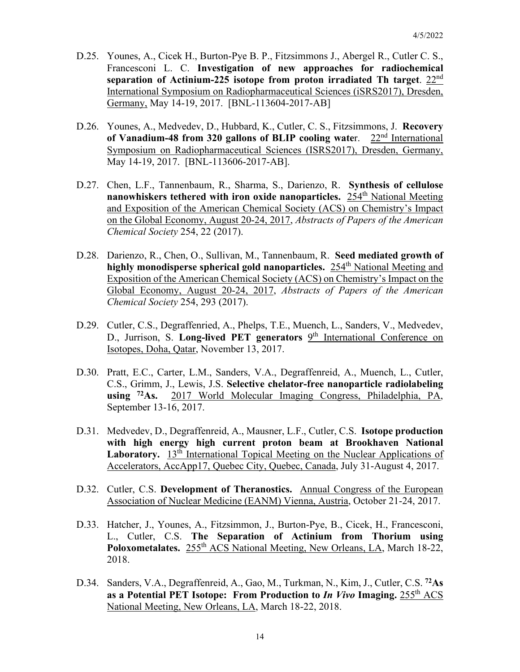- D.25. Younes, A., Cicek H., Burton-Pye B. P., Fitzsimmons J., Abergel R., Cutler C. S., Francesconi L. C. **Investigation of new approaches for radiochemical separation of Actinium-225 isotope from proton irradiated Th target**. 22nd International Symposium on Radiopharmaceutical Sciences (iSRS2017), Dresden, Germany, May 14-19, 2017. [BNL-113604-2017-AB]
- D.26. Younes, A., Medvedev, D., Hubbard, K., Cutler, C. S., Fitzsimmons, J. **Recovery of Vanadium-48 from 320 gallons of BLIP cooling wate**r. 22nd International Symposium on Radiopharmaceutical Sciences (ISRS2017), Dresden, Germany, May 14-19, 2017. [BNL-113606-2017-AB].
- D.27. Chen, L.F., Tannenbaum, R., Sharma, S., Darienzo, R. **Synthesis of cellulose nanowhiskers tethered with iron oxide nanoparticles.** 254<sup>th</sup> National Meeting and Exposition of the American Chemical Society (ACS) on Chemistry's Impact on the Global Economy, August 20-24, 2017, *Abstracts of Papers of the American Chemical Society* 254, 22 (2017).
- D.28. Darienzo, R., Chen, O., Sullivan, M., Tannenbaum, R. **Seed mediated growth of highly monodisperse spherical gold nanoparticles.** 254<sup>th</sup> National Meeting and Exposition of the American Chemical Society (ACS) on Chemistry's Impact on the Global Economy, August 20-24, 2017, *Abstracts of Papers of the American Chemical Society* 254, 293 (2017).
- D.29. Cutler, C.S., Degraffenried, A., Phelps, T.E., Muench, L., Sanders, V., Medvedev, D., Jurrison, S. Long-lived PET generators 9<sup>th</sup> International Conference on Isotopes, Doha, Qatar, November 13, 2017.
- D.30. Pratt, E.C., Carter, L.M., Sanders, V.A., Degraffenreid, A., Muench, L., Cutler, C.S., Grimm, J., Lewis, J.S. **Selective chelator-free nanoparticle radiolabeling using 72As.** 2017 World Molecular Imaging Congress, Philadelphia, PA, September 13-16, 2017.
- D.31. Medvedev, D., Degraffenreid, A., Mausner, L.F., Cutler, C.S. **Isotope production with high energy high current proton beam at Brookhaven National**  Laboratory. 13<sup>th</sup> International Topical Meeting on the Nuclear Applications of Accelerators, AccApp17, Quebec City, Quebec, Canada, July 31-August 4, 2017.
- D.32. Cutler, C.S. **Development of Theranostics.** Annual Congress of the European Association of Nuclear Medicine (EANM) Vienna, Austria, October 21-24, 2017.
- D.33. Hatcher, J., Younes, A., Fitzsimmon, J., Burton-Pye, B., Cicek, H., Francesconi, L., Cutler, C.S. **The Separation of Actinium from Thorium using**  Poloxometalates. 255<sup>th</sup> ACS National Meeting, New Orleans, LA, March 18-22, 2018.
- D.34. Sanders, V.A., Degraffenreid, A., Gao, M., Turkman, N., Kim, J., Cutler, C.S. **72As as a Potential PET Isotope: From Production to** *In Vivo* **Imaging.** 255th ACS National Meeting, New Orleans, LA, March 18-22, 2018.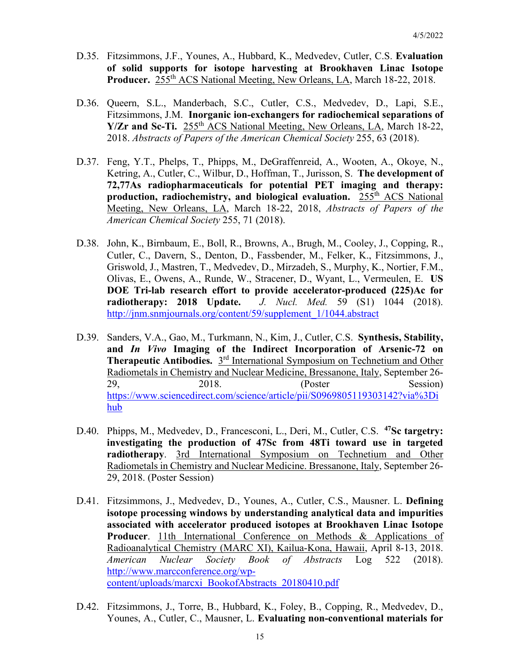- D.35. Fitzsimmons, J.F., Younes, A., Hubbard, K., Medvedev, Cutler, C.S. **Evaluation of solid supports for isotope harvesting at Brookhaven Linac Isotope**  Producer. 255<sup>th</sup> ACS National Meeting, New Orleans, LA, March 18-22, 2018.
- D.36. Queern, S.L., Manderbach, S.C., Cutler, C.S., Medvedev, D., Lapi, S.E., Fitzsimmons, J.M. **Inorganic ion-exchangers for radiochemical separations of Y/Zr and Sc-Ti.** 255<sup>th</sup> ACS National Meeting, New Orleans, LA, March 18-22, 2018. *Abstracts of Papers of the American Chemical Society* 255, 63 (2018).
- D.37. Feng, Y.T., Phelps, T., Phipps, M., DeGraffenreid, A., Wooten, A., Okoye, N., Ketring, A., Cutler, C., Wilbur, D., Hoffman, T., Jurisson, S. **The development of 72,77As radiopharmaceuticals for potential PET imaging and therapy: production, radiochemistry, and biological evaluation.** 255<sup>th</sup> ACS National Meeting, New Orleans, LA, March 18-22, 2018, *Abstracts of Papers of the American Chemical Society* 255, 71 (2018).
- D.38. John, K., Birnbaum, E., Boll, R., Browns, A., Brugh, M., Cooley, J., Copping, R., Cutler, C., Davern, S., Denton, D., Fassbender, M., Felker, K., Fitzsimmons, J., Griswold, J., Mastren, T., Medvedev, D., Mirzadeh, S., Murphy, K., Nortier, F.M., Olivas, E., Owens, A., Runde, W., Stracener, D., Wyant, L., Vermeulen, E. **US DOE Tri-lab research effort to provide accelerator-produced (225)Ac for radiotherapy: 2018 Update.** *J. Nucl. Med.* 59 (S1) 1044 (2018). [http://jnm.snmjournals.org/content/59/supplement\\_1/1044.abstract](http://jnm.snmjournals.org/content/59/supplement_1/1044.abstract)
- D.39. Sanders, V.A., Gao, M., Turkmann, N., Kim, J., Cutler, C.S. **Synthesis, Stability, and** *In Vivo* **Imaging of the Indirect Incorporation of Arsenic-72 on Therapeutic Antibodies.** 3<sup>rd</sup> International Symposium on Technetium and Other Radiometals in Chemistry and Nuclear Medicine, Bressanone, Italy, September 26- 29, 2018. (Poster Session) [https://www.sciencedirect.com/science/article/pii/S0969805119303142?via%3Di](https://www.sciencedirect.com/science/article/pii/S0969805119303142?via%3Dihub) [hub](https://www.sciencedirect.com/science/article/pii/S0969805119303142?via%3Dihub)
- D.40. Phipps, M., Medvedev, D., Francesconi, L., Deri, M., Cutler, C.S. **47Sc targetry: investigating the production of 47Sc from 48Ti toward use in targeted radiotherapy**. 3rd International Symposium on Technetium and Other Radiometals in Chemistry and Nuclear Medicine. Bressanone, Italy, September 26- 29, 2018. (Poster Session)
- D.41. Fitzsimmons, J., Medvedev, D., Younes, A., Cutler, C.S., Mausner. L. **Defining isotope processing windows by understanding analytical data and impurities associated with accelerator produced isotopes at Brookhaven Linac Isotope Producer.** 11th International Conference on Methods & Applications of Radioanalytical Chemistry (MARC XI), Kailua-Kona, Hawaii, April 8-13, 2018. *American Nuclear Society Book of Abstracts* Log 522 (2018). [http://www.marcconference.org/wp](http://www.marcconference.org/wp-content/uploads/marcxi_BookofAbstracts_20180410.pdf)[content/uploads/marcxi\\_BookofAbstracts\\_20180410.pdf](http://www.marcconference.org/wp-content/uploads/marcxi_BookofAbstracts_20180410.pdf)
- D.42. Fitzsimmons, J., Torre, B., Hubbard, K., Foley, B., Copping, R., Medvedev, D., Younes, A., Cutler, C., Mausner, L. **Evaluating non-conventional materials for**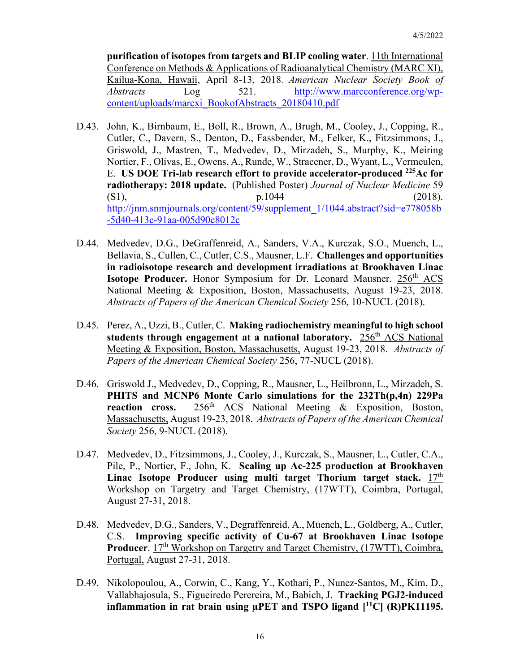**purification of isotopes from targets and BLIP cooling water**. 11th International Conference on Methods & Applications of Radioanalytical Chemistry (MARC XI), Kailua-Kona, Hawaii, April 8-13, 2018. *American Nuclear Society Book of Abstracts* Log 521. [http://www.marcconference.org/wp](http://www.marcconference.org/wp-content/uploads/marcxi_BookofAbstracts_20180410.pdf)[content/uploads/marcxi\\_BookofAbstracts\\_20180410.pdf](http://www.marcconference.org/wp-content/uploads/marcxi_BookofAbstracts_20180410.pdf)

- D.43. John, K., Birnbaum, E., Boll, R., Brown, A., Brugh, M., Cooley, J., Copping, R., Cutler, C., Davern, S., Denton, D., Fassbender, M., Felker, K., Fitzsimmons, J., Griswold, J., Mastren, T., Medvedev, D., Mirzadeh, S., Murphy, K., Meiring Nortier, F., Olivas, E., Owens, A., Runde, W., Stracener, D., Wyant, L., Vermeulen, E. **US DOE Tri-lab research effort to provide accelerator-produced 225Ac for radiotherapy: 2018 update.** (Published Poster) *Journal of Nuclear Medicine* 59 (S1),  $p.1044$  (2018). http://inm.snmjournals.org/content/59/supplement\_1/1044.abstract?sid=e778058b [-5d40-413c-91aa-005d90c8012c](http://jnm.snmjournals.org/content/59/supplement_1/1044.abstract?sid=e778058b-5d40-413c-91aa-005d90c8012c)
- D.44. Medvedev, D.G., DeGraffenreid, A., Sanders, V.A., Kurczak, S.O., Muench, L., Bellavia, S., Cullen, C., Cutler, C.S., Mausner, L.F. **Challenges and opportunities in radioisotope research and development irradiations at Brookhaven Linac Isotope Producer.** Honor Symposium for Dr. Leonard Mausner. 256<sup>th</sup> ACS National Meeting & Exposition, Boston, Massachusetts, August 19-23, 2018. *Abstracts of Papers of the American Chemical Society* 256, 10-NUCL (2018).
- D.45. Perez, A., Uzzi, B., Cutler, C. **Making radiochemistry meaningful to high school students through engagement at a national laboratory.** 256<sup>th</sup> ACS National Meeting & Exposition, Boston, Massachusetts, August 19-23, 2018. *Abstracts of Papers of the American Chemical Society* 256, 77-NUCL (2018).
- D.46. Griswold J., Medvedev, D., Copping, R., Mausner, L., Heilbronn, L., Mirzadeh, S. **PHITS and MCNP6 Monte Carlo simulations for the 232Th(p,4n) 229Pa reaction cross.** 256th ACS National Meeting & Exposition, Boston, Massachusetts, August 19-23, 2018. *Abstracts of Papers of the American Chemical Society* 256, 9-NUCL (2018).
- D.47. Medvedev, D., Fitzsimmons, J., Cooley, J., Kurczak, S., Mausner, L., Cutler, C.A., Pile, P., Nortier, F., John, K. **Scaling up Ac-225 production at Brookhaven**  Linac Isotope Producer using multi target Thorium target stack. 17<sup>th</sup> Workshop on Targetry and Target Chemistry, (17WTT), Coimbra, Portugal, August 27-31, 2018.
- D.48. Medvedev, D.G., Sanders, V., Degraffenreid, A., Muench, L., Goldberg, A., Cutler, C.S. **Improving specific activity of Cu-67 at Brookhaven Linac Isotope Producer**. 17<sup>th</sup> Workshop on Targetry and Target Chemistry, (17WTT), Coimbra, Portugal, August 27-31, 2018.
- D.49. Nikolopoulou, A., Corwin, C., Kang, Y., Kothari, P., Nunez-Santos, M., Kim, D., Vallabhajosula, S., Figueiredo Perereira, M., Babich, J. **Tracking PGJ2-induced inflammation in rat brain using µPET and TSPO ligand [11C] (R)PK11195.**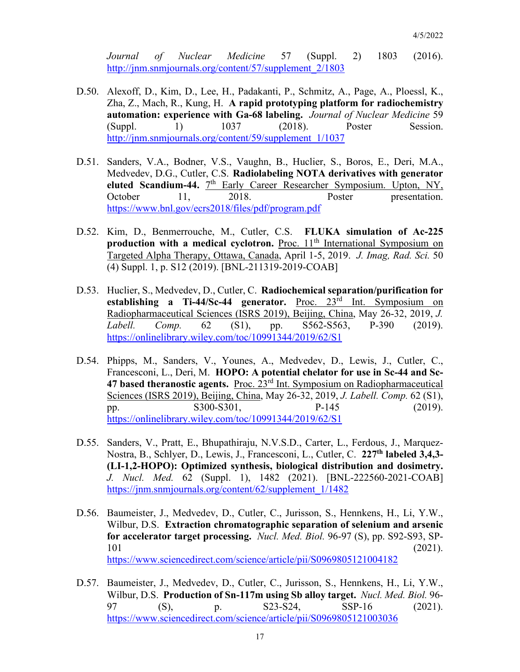*Journal of Nuclear Medicine* 57 (Suppl. 2) 1803 (2016). [http://jnm.snmjournals.org/content/57/supplement\\_2/1803](http://jnm.snmjournals.org/content/57/supplement_2/1803)

- D.50. Alexoff, D., Kim, D., Lee, H., Padakanti, P., Schmitz, A., Page, A., Ploessl, K., Zha, Z., Mach, R., Kung, H. **A rapid prototyping platform for radiochemistry automation: experience with Ga-68 labeling.** *Journal of Nuclear Medicine* 59 (Suppl. 1) 1037 (2018). Poster Session. [http://jnm.snmjournals.org/content/59/supplement\\_1/1037](http://jnm.snmjournals.org/content/59/supplement_1/1037)
- D.51. Sanders, V.A., Bodner, V.S., Vaughn, B., Huclier, S., Boros, E., Deri, M.A., Medvedev, D.G., Cutler, C.S. **Radiolabeling NOTA derivatives with generator**  eluted Scandium-44. 7<sup>th</sup> Early Career Researcher Symposium. Upton, NY, October 11, 2018. Poster presentation. <https://www.bnl.gov/ecrs2018/files/pdf/program.pdf>
- D.52. Kim, D., Benmerrouche, M., Cutler, C.S. **FLUKA simulation of Ac-225 production with a medical cyclotron.** Proc. 11<sup>th</sup> International Symposium on Targeted Alpha Therapy, Ottawa, Canada, April 1-5, 2019. *J. Imag, Rad. Sci.* 50 (4) Suppl. 1, p. S12 (2019). [BNL-211319-2019-COAB]
- D.53. Huclier, S., Medvedev, D., Cutler, C. **Radiochemical separation/purification for establishing a Ti-44/Sc-44 generator.** Proc. 23rd Int. Symposium on Radiopharmaceutical Sciences (ISRS 2019), Beijing, China, May 26-32, 2019, *J. Labell. Comp.* 62 (S1), pp. S562-S563, P-390 (2019). <https://onlinelibrary.wiley.com/toc/10991344/2019/62/S1>
- D.54. Phipps, M., Sanders, V., Younes, A., Medvedev, D., Lewis, J., Cutler, C., Francesconi, L., Deri, M. **HOPO: A potential chelator for use in Sc-44 and Sc-47 based theranostic agents.** Proc. 23rd Int. Symposium on Radiopharmaceutical Sciences (ISRS 2019), Beijing, China, May 26-32, 2019, *J. Labell. Comp.* 62 (S1), pp. S300-S301, P-145 (2019). <https://onlinelibrary.wiley.com/toc/10991344/2019/62/S1>
- D.55. Sanders, V., Pratt, E., Bhupathiraju, N.V.S.D., Carter, L., Ferdous, J., Marquez-Nostra, B., Schlyer, D., Lewis, J., Francesconi, L., Cutler, C. **227th labeled 3,4,3- (LI-1,2-HOPO): Optimized synthesis, biological distribution and dosimetry.**  *J. Nucl. Med.* 62 (Suppl. 1), 1482 (2021). [BNL-222560-2021-COAB] [https://jnm.snmjournals.org/content/62/supplement\\_1/1482](https://jnm.snmjournals.org/content/62/supplement_1/1482)
- D.56. Baumeister, J., Medvedev, D., Cutler, C., Jurisson, S., Hennkens, H., Li, Y.W., Wilbur, D.S. **Extraction chromatographic separation of selenium and arsenic for accelerator target processing.** *Nucl. Med. Biol.* 96-97 (S), pp. S92-S93, SP-101 (2021). <https://www.sciencedirect.com/science/article/pii/S0969805121004182>
- D.57. Baumeister, J., Medvedev, D., Cutler, C., Jurisson, S., Hennkens, H., Li, Y.W., Wilbur, D.S. **Production of Sn-117m using Sb alloy target.** *Nucl. Med. Biol.* 96- 97 (S), p. S23-S24, SSP-16 (2021). <https://www.sciencedirect.com/science/article/pii/S0969805121003036>